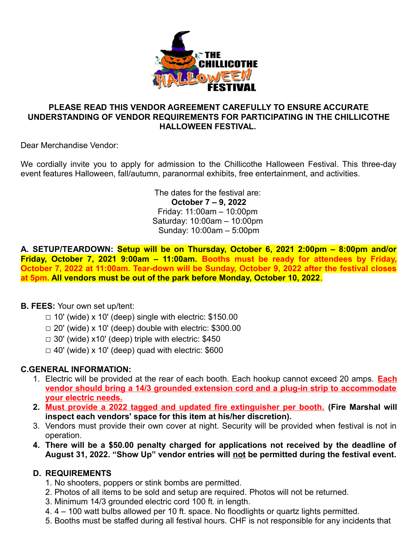

### **PLEASE READ THIS VENDOR AGREEMENT CAREFULLY TO ENSURE ACCURATE UNDERSTANDING OF VENDOR REQUIREMENTS FOR PARTICIPATING IN THE CHILLICOTHE HALLOWEEN FESTIVAL.**

Dear Merchandise Vendor:

We cordially invite you to apply for admission to the Chillicothe Halloween Festival. This three-day event features Halloween, fall/autumn, paranormal exhibits, free entertainment, and activities.

> The dates for the festival are: **October 7 – 9, 2022** Friday: 11:00am – 10:00pm Saturday: 10:00am – 10:00pm Sunday: 10:00am – 5:00pm

**A. SETUP/TEARDOWN: Setup will be on Thursday, October 6, 2021 2:00pm – 8:00pm and/or Friday, October 7, 2021 9:00am – 11:00am. Booths must be ready for attendees by Friday, October 7, 2022 at 11:00am. Tear-down will be Sunday, October 9, 2022 after the festival closes at 5pm. All vendors must be out of the park before Monday, October 10, 2022**.

### **B. FEES:** Your own set up/tent:

- $\Box$  10' (wide) x 10' (deep) single with electric: \$150.00
- $\Box$  20' (wide) x 10' (deep) double with electric: \$300.00
- $\Box$  30' (wide) x10' (deep) triple with electric: \$450
- $\Box$  40' (wide) x 10' (deep) quad with electric: \$600

### **C.GENERAL INFORMATION:**

- 1. Electric will be provided at the rear of each booth. Each hookup cannot exceed 20 amps. **Each vendor should bring a 14/3 grounded extension cord and a plug-in strip to accommodate your electric needs.**
- **2. Must provide a 2022 tagged and updated fire extinguisher per booth. (Fire Marshal will inspect each vendors' space for this item at his/her discretion).**
- 3. Vendors must provide their own cover at night. Security will be provided when festival is not in operation.
- **4. There will be a \$50.00 penalty charged for applications not received by the deadline of August 31, 2022. "Show Up" vendor entries will not be permitted during the festival event.**

## **D. REQUIREMENTS**

- 1. No shooters, poppers or stink bombs are permitted.
- 2. Photos of all items to be sold and setup are required. Photos will not be returned.
- 3. Minimum 14/3 grounded electric cord 100 ft. in length.
- 4. 4 100 watt bulbs allowed per 10 ft. space. No floodlights or quartz lights permitted.
- 5. Booths must be staffed during all festival hours. CHF is not responsible for any incidents that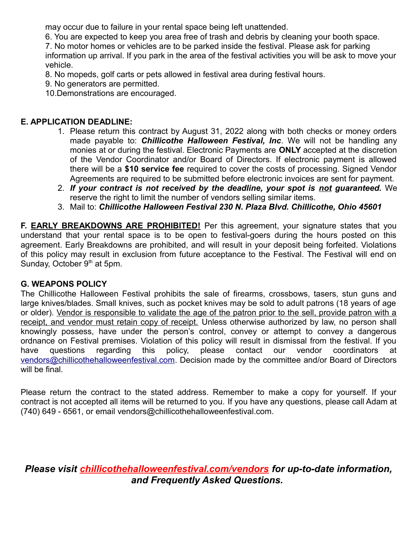may occur due to failure in your rental space being left unattended.

6. You are expected to keep you area free of trash and debris by cleaning your booth space.

7. No motor homes or vehicles are to be parked inside the festival. Please ask for parking information up arrival. If you park in the area of the festival activities you will be ask to move your vehicle.

8. No mopeds, golf carts or pets allowed in festival area during festival hours.

9. No generators are permitted.

10.Demonstrations are encouraged.

## **E. APPLICATION DEADLINE:**

- 1. Please return this contract by August 31, 2022 along with both checks or money orders made payable to: *Chillicothe Halloween Festival, Inc*. We will not be handling any monies at or during the festival. Electronic Payments are **ONLY** accepted at the discretion of the Vendor Coordinator and/or Board of Directors. If electronic payment is allowed there will be a **\$10 service fee** required to cover the costs of processing. Signed Vendor Agreements are required to be submitted before electronic invoices are sent for payment.
- 2. *If your contract is not received by the deadline, your spot is not guaranteed.* We reserve the right to limit the number of vendors selling similar items.
- 3. Mail to: *Chillicothe Halloween Festival 230 N. Plaza Blvd. Chillicothe, Ohio 45601*

**F. EARLY BREAKDOWNS ARE PROHIBITED!** Per this agreement, your signature states that you understand that your rental space is to be open to festival-goers during the hours posted on this agreement. Early Breakdowns are prohibited, and will result in your deposit being forfeited. Violations of this policy may result in exclusion from future acceptance to the Festival. The Festival will end on Sunday, October  $9<sup>th</sup>$  at 5pm.

## **G. WEAPONS POLICY**

The Chillicothe Halloween Festival prohibits the sale of firearms, crossbows, tasers, stun guns and large knives/blades. Small knives, such as pocket knives may be sold to adult patrons (18 years of age or older). Vendor is responsible to validate the age of the patron prior to the sell, provide patron with a receipt, and vendor must retain copy of receipt. Unless otherwise authorized by law, no person shall knowingly possess, have under the person's control, convey or attempt to convey a dangerous ordnance on Festival premises. Violation of this policy will result in dismissal from the festival. If you have questions regarding this policy, please contact our vendor coordinators at [vendors@chillicothehalloweenfestival.com.](mailto:vendors@chillicothehalloweenfestival.com) Decision made by the committee and/or Board of Directors will be final.

Please return the contract to the stated address. Remember to make a copy for yourself. If your contract is not accepted all items will be returned to you. If you have any questions, please call Adam at (740) 649 - 6561, or email vendors@chillicothehalloweenfestival.com.

*Please visit chillicothehalloweenfestival.com/vendors for up-to-date information, and Frequently Asked Questions.*